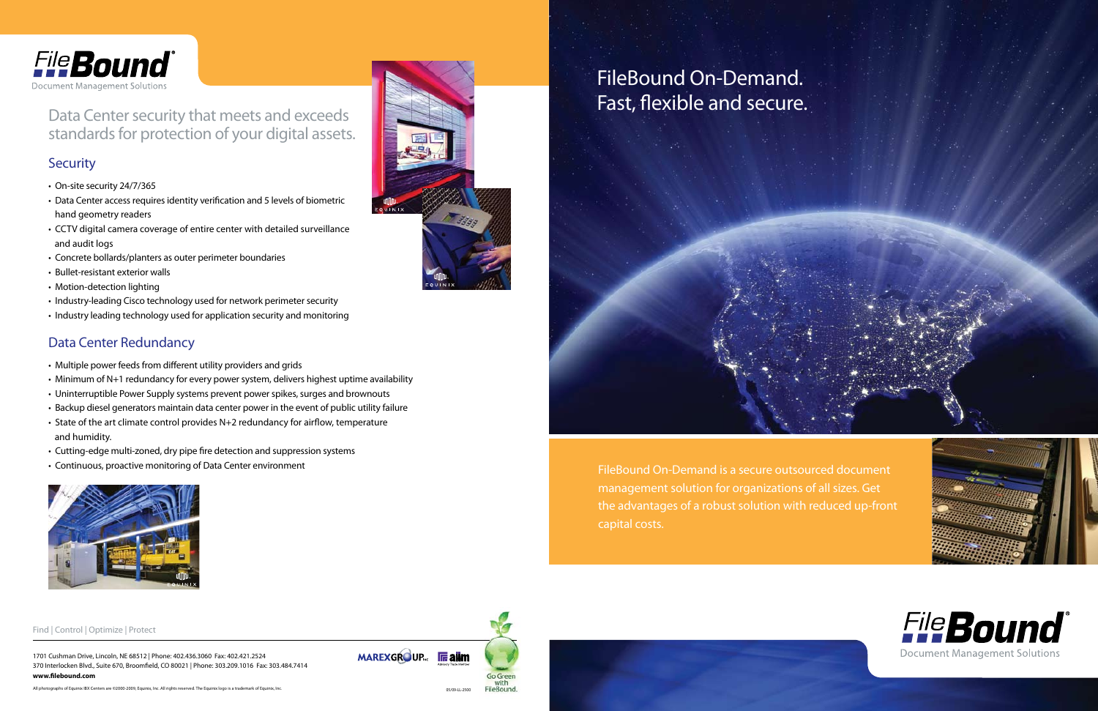1701 Cushman Drive, Lincoln, NE 68512 | Phone: 402.436.3060 Fax: 402.421.2524 370 Interlocken Blvd., Suite 670, Broomfield, CO 80021 | Phone: 303.209.1016 Fax: 303.484.7414 **www.filebound.com** 



#### Find | Control | Optimize | Protect



FileBound On-Demand is a secure outsourced document management solution for organizations of all sizes. Get the advantages of a robust solution with reduced up-front capital costs.



Data Center security that meets and exceeds standards for protection of your digital assets.

#### **Security**

- On-site security 24/7/365
- Data Center access requires identity verification and 5 levels of biometric hand geometry readers
- CCTV digital camera coverage of entire center with detailed surveillance and audit logs
- Concrete bollards/planters as outer perimeter boundaries
- Bullet-resistant exterior walls
- Motion-detection lighting
- Industry-leading Cisco technology used for network perimeter security
- Industry leading technology used for application security and monitoring

All photographs of Equinix IBX Centers are ©2000-2009, Equinix, Inc. All rights reserved. The Equinix logo is a trademark of Equinix, Inc. 05/09-LL-2500







#### Data Center Redundancy

- Multiple power feeds from different utility providers and grids
- Minimum of N+1 redundancy for every power system, delivers highest uptime availability
- Uninterruptible Power Supply systems prevent power spikes, surges and brownouts
- Backup diesel generators maintain data center power in the event of public utility failure
- State of the art climate control provides N+2 redundancy for airflow, temperature and humidity.
- Cutting-edge multi-zoned, dry pipe fire detection and suppression systems
- Continuous, proactive monitoring of Data Center environment